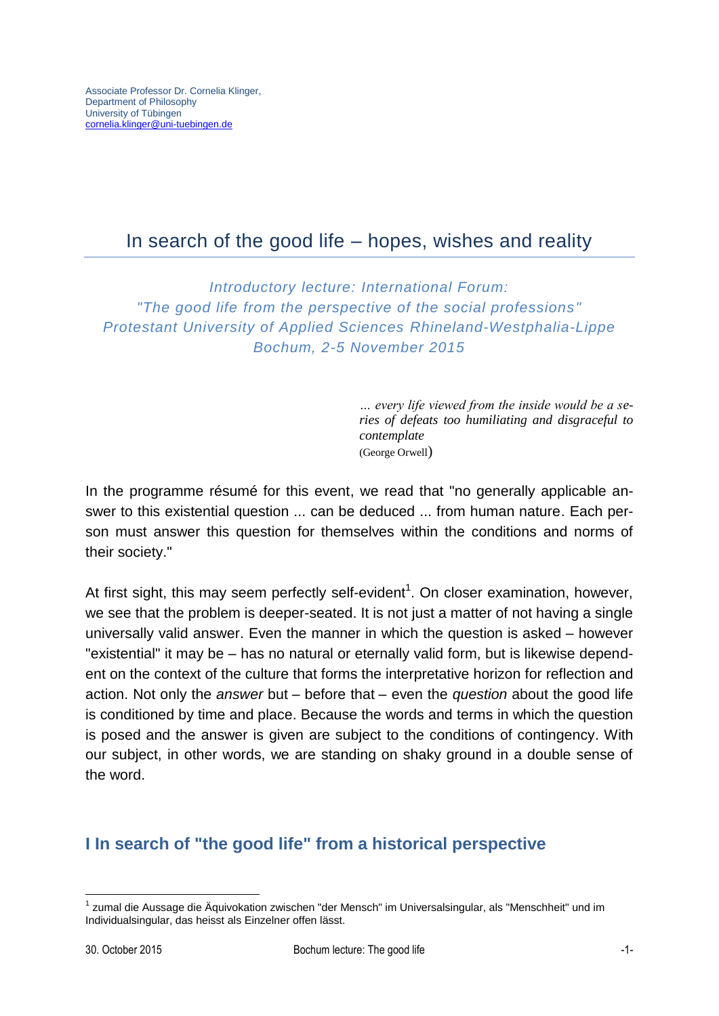# In search of the good life – hopes, wishes and reality

*Introductory lecture: International Forum: "The good life from the perspective of the social professions" Protestant University of Applied Sciences Rhineland-Westphalia-Lippe Bochum, 2-5 November 2015*

> *… every life viewed from the inside would be a series of defeats too humiliating and disgraceful to contemplate* (George Orwell)

In the programme résumé for this event, we read that "no generally applicable answer to this existential question ... can be deduced ... from human nature. Each person must answer this question for themselves within the conditions and norms of their society."

At first sight, this may seem perfectly self-evident<sup>1</sup>. On closer examination, however, we see that the problem is deeper-seated. It is not just a matter of not having a single universally valid answer. Even the manner in which the question is asked – however "existential" it may be – has no natural or eternally valid form, but is likewise dependent on the context of the culture that forms the interpretative horizon for reflection and action. Not only the *answer* but – before that – even the *question* about the good life is conditioned by time and place. Because the words and terms in which the question is posed and the answer is given are subject to the conditions of contingency. With our subject, in other words, we are standing on shaky ground in a double sense of the word.

### **I In search of "the good life" from a historical perspective**

<sup>1</sup> <sup>1</sup> zumal die Aussage die Äquivokation zwischen "der Mensch" im Universalsingular, als "Menschheit" und im Individualsingular, das heisst als Einzelner offen lässt.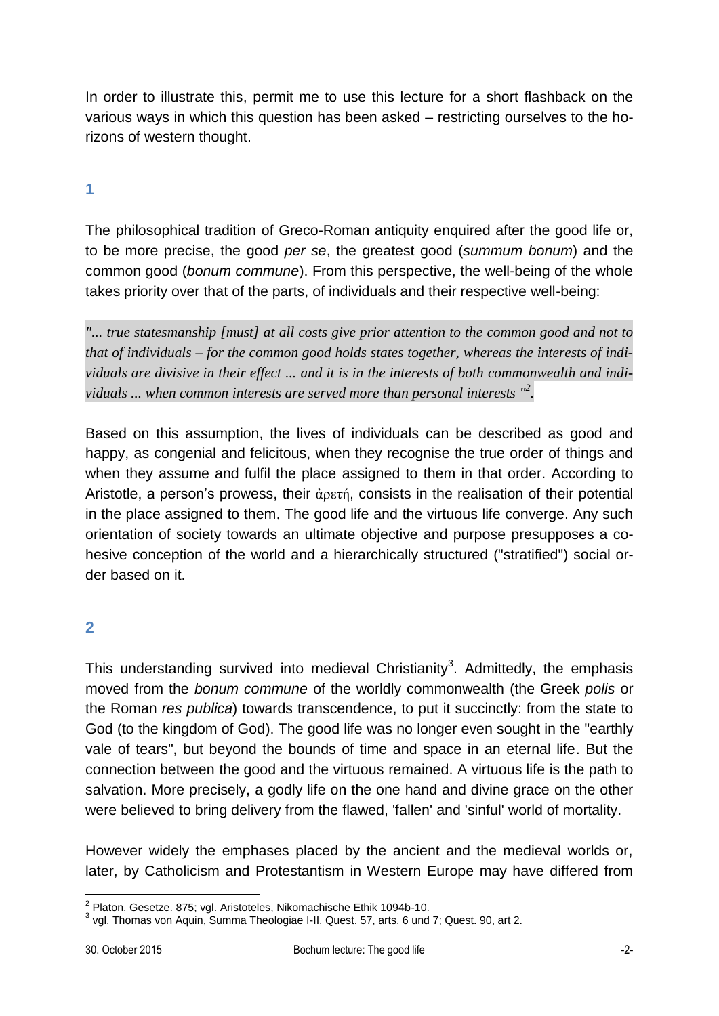In order to illustrate this, permit me to use this lecture for a short flashback on the various ways in which this question has been asked – restricting ourselves to the horizons of western thought.

#### **1**

The philosophical tradition of Greco-Roman antiquity enquired after the good life or, to be more precise, the good *per se*, the greatest good (*summum bonum*) and the common good (*bonum commune*). From this perspective, the well-being of the whole takes priority over that of the parts, of individuals and their respective well-being:

*"... true statesmanship [must] at all costs give prior attention to the common good and not to that of individuals – for the common good holds states together, whereas the interests of individuals are divisive in their effect ... and it is in the interests of both commonwealth and individuals ... when common interests are served more than personal interests " 2 .*

Based on this assumption, the lives of individuals can be described as good and happy, as congenial and felicitous, when they recognise the true order of things and when they assume and fulfil the place assigned to them in that order. According to Aristotle, a person's prowess, their ἀρετή, consists in the realisation of their potential in the place assigned to them. The good life and the virtuous life converge. Any such orientation of society towards an ultimate objective and purpose presupposes a cohesive conception of the world and a hierarchically structured ("stratified") social order based on it.

# **2**

This understanding survived into medieval Christianity<sup>3</sup>. Admittedly, the emphasis moved from the *bonum commune* of the worldly commonwealth (the Greek *polis* or the Roman *res publica*) towards transcendence, to put it succinctly: from the state to God (to the kingdom of God). The good life was no longer even sought in the "earthly vale of tears", but beyond the bounds of time and space in an eternal life. But the connection between the good and the virtuous remained. A virtuous life is the path to salvation. More precisely, a godly life on the one hand and divine grace on the other were believed to bring delivery from the flawed, 'fallen' and 'sinful' world of mortality.

However widely the emphases placed by the ancient and the medieval worlds or, later, by Catholicism and Protestantism in Western Europe may have differed from

 2 Platon, Gesetze. 875; vgl. Aristoteles, Nikomachische Ethik 1094b-10.

 $3$  vgl. Thomas von Aquin, Summa Theologiae I-II, Quest. 57, arts. 6 und 7; Quest. 90, art 2.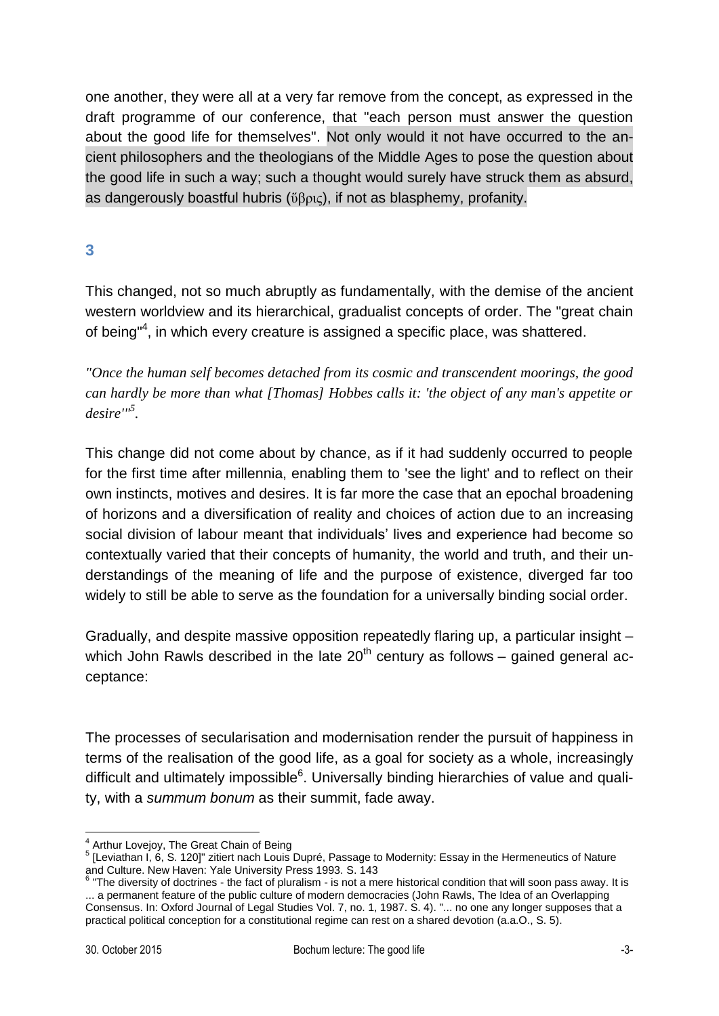one another, they were all at a very far remove from the concept, as expressed in the draft programme of our conference, that "each person must answer the question about the good life for themselves". Not only would it not have occurred to the ancient philosophers and the theologians of the Middle Ages to pose the question about the good life in such a way; such a thought would surely have struck them as absurd, as dangerously boastful hubris (ὕβρις), if not as blasphemy, profanity.

## **3**

This changed, not so much abruptly as fundamentally, with the demise of the ancient western worldview and its hierarchical, gradualist concepts of order. The "great chain of being"<sup>4</sup>, in which every creature is assigned a specific place, was shattered.

*"Once the human self becomes detached from its cosmic and transcendent moorings, the good can hardly be more than what [Thomas] Hobbes calls it: 'the object of any man's appetite or desire'"<sup>5</sup> .*

This change did not come about by chance, as if it had suddenly occurred to people for the first time after millennia, enabling them to 'see the light' and to reflect on their own instincts, motives and desires. It is far more the case that an epochal broadening of horizons and a diversification of reality and choices of action due to an increasing social division of labour meant that individuals' lives and experience had become so contextually varied that their concepts of humanity, the world and truth, and their understandings of the meaning of life and the purpose of existence, diverged far too widely to still be able to serve as the foundation for a universally binding social order.

Gradually, and despite massive opposition repeatedly flaring up, a particular insight – which John Rawls described in the late  $20<sup>th</sup>$  century as follows – gained general acceptance:

The processes of secularisation and modernisation render the pursuit of happiness in terms of the realisation of the good life, as a goal for society as a whole, increasingly difficult and ultimately impossible<sup>6</sup>. Universally binding hierarchies of value and quality, with a *summum bonum* as their summit, fade away.

<sup>1</sup> <sup>4</sup> Arthur Lovejoy, The Great Chain of Being

<sup>&</sup>lt;sup>5</sup> [Leviathan I, 6, S. 120]" zitiert nach Louis Dupré, Passage to Modernity: Essay in the Hermeneutics of Nature and Culture. New Haven: Yale University Press 1993. S. 143

 $6$  "The diversity of doctrines - the fact of pluralism - is not a mere historical condition that will soon pass away. It is ... a permanent feature of the public culture of modern democracies (John Rawls, The Idea of an Overlapping Consensus. In: Oxford Journal of Legal Studies Vol. 7, no. 1, 1987. S. 4). "... no one any longer supposes that a practical political conception for a constitutional regime can rest on a shared devotion (a.a.O., S. 5).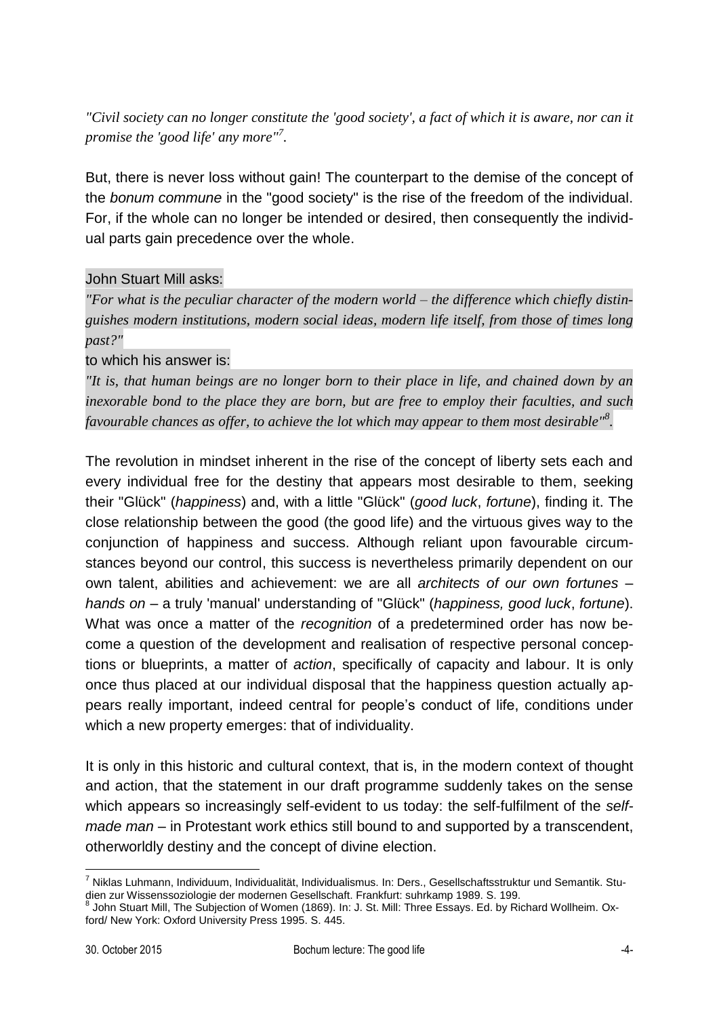*"Civil society can no longer constitute the 'good society', a fact of which it is aware, nor can it promise the 'good life' any more" 7 .*

But, there is never loss without gain! The counterpart to the demise of the concept of the *bonum commune* in the "good society" is the rise of the freedom of the individual. For, if the whole can no longer be intended or desired, then consequently the individual parts gain precedence over the whole.

#### John Stuart Mill asks:

*"For what is the peculiar character of the modern world – the difference which chiefly distinguishes modern institutions, modern social ideas, modern life itself, from those of times long past?"* 

to which his answer is:

*"It is, that human beings are no longer born to their place in life, and chained down by an inexorable bond to the place they are born, but are free to employ their faculties, and such favourable chances as offer, to achieve the lot which may appear to them most desirable"<sup>8</sup> .*

The revolution in mindset inherent in the rise of the concept of liberty sets each and every individual free for the destiny that appears most desirable to them, seeking their "Glück" (*happiness*) and, with a little "Glück" (*good luck*, *fortune*), finding it. The close relationship between the good (the good life) and the virtuous gives way to the conjunction of happiness and success. Although reliant upon favourable circumstances beyond our control, this success is nevertheless primarily dependent on our own talent, abilities and achievement: we are all *architects of our own fortunes* – *hands on* – a truly 'manual' understanding of "Glück" (*happiness, good luck*, *fortune*). What was once a matter of the *recognition* of a predetermined order has now become a question of the development and realisation of respective personal conceptions or blueprints, a matter of *action*, specifically of capacity and labour. It is only once thus placed at our individual disposal that the happiness question actually appears really important, indeed central for people's conduct of life, conditions under which a new property emerges: that of individuality.

It is only in this historic and cultural context, that is, in the modern context of thought and action, that the statement in our draft programme suddenly takes on the sense which appears so increasingly self-evident to us today: the self-fulfilment of the *selfmade man* – in Protestant work ethics still bound to and supported by a transcendent, otherworldly destiny and the concept of divine election.

<u>.</u>

<sup>&</sup>lt;sup>7</sup> Niklas Luhmann, Individuum, Individualität, Individualismus. In: Ders., Gesellschaftsstruktur und Semantik. Studien zur Wissenssoziologie der modernen Gesellschaft. Frankfurt: suhrkamp 1989. S. 199.<br><sup>8</sup> John Stuart Mill The Subjection of Wamen (1960), Jp. J. St. Mill: Three Essays, Ed. by Bi

John Stuart Mill, The Subjection of Women (1869). In: J. St. Mill: Three Essays. Ed. by Richard Wollheim. Oxford/ New York: Oxford University Press 1995. S. 445.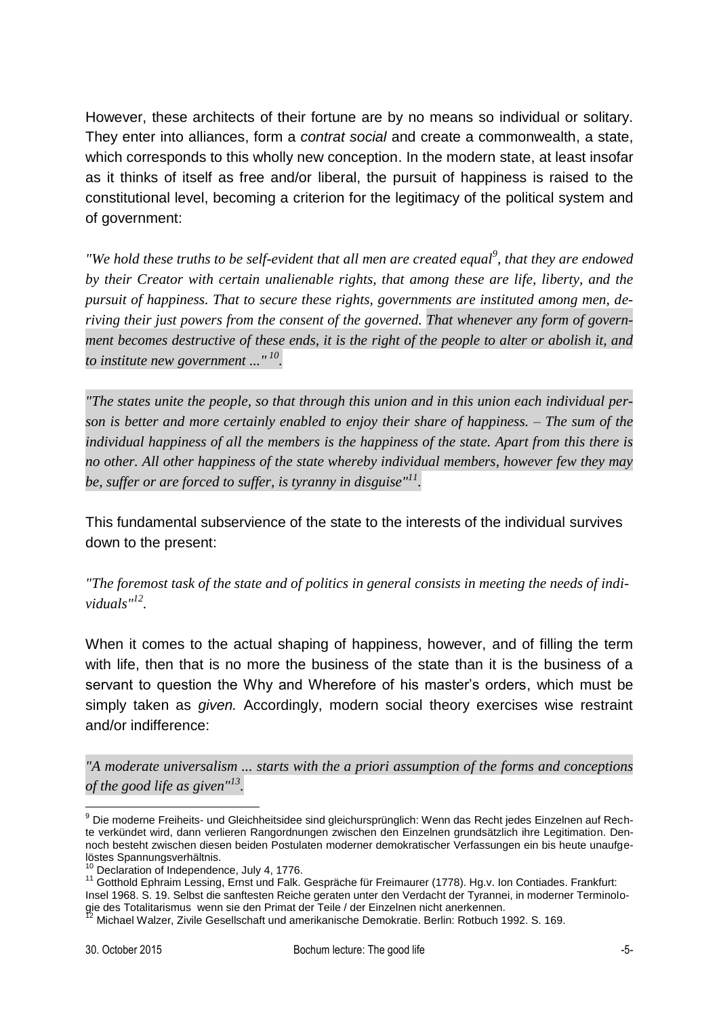However, these architects of their fortune are by no means so individual or solitary. They enter into alliances, form a *contrat social* and create a commonwealth, a state, which corresponds to this wholly new conception. In the modern state, at least insofar as it thinks of itself as free and/or liberal, the pursuit of happiness is raised to the constitutional level, becoming a criterion for the legitimacy of the political system and of government:

*"We hold these truths to be self-evident that all men are created equal<sup>9</sup>, that they are endowed by their Creator with certain unalienable rights, that among these are life, liberty, and the pursuit of happiness. That to secure these rights, governments are instituted among men, deriving their just powers from the consent of the governed. That whenever any form of government becomes destructive of these ends, it is the right of the people to alter or abolish it, and to institute new government ..." <sup>10</sup> .* 

*"The states unite the people, so that through this union and in this union each individual person is better and more certainly enabled to enjoy their share of happiness. – The sum of the individual happiness of all the members is the happiness of the state. Apart from this there is no other. All other happiness of the state whereby individual members, however few they may be, suffer or are forced to suffer, is tyranny in disguise" 11 .*

This fundamental subservience of the state to the interests of the individual survives down to the present:

*"The foremost task of the state and of politics in general consists in meeting the needs of individuals" 12 .*

When it comes to the actual shaping of happiness, however, and of filling the term with life, then that is no more the business of the state than it is the business of a servant to question the Why and Wherefore of his master's orders, which must be simply taken as *given.* Accordingly, modern social theory exercises wise restraint and/or indifference:

*"A moderate universalism ... starts with the a priori assumption of the forms and conceptions of the good life as given" 13 .*

<sup>1</sup> <sup>9</sup> Die moderne Freiheits- und Gleichheitsidee sind gleichursprünglich: Wenn das Recht jedes Einzelnen auf Rechte verkündet wird, dann verlieren Rangordnungen zwischen den Einzelnen grundsätzlich ihre Legitimation. Dennoch besteht zwischen diesen beiden Postulaten moderner demokratischer Verfassungen ein bis heute unaufgelöstes Spannungsverhältnis.

<sup>&</sup>lt;sup>10</sup> Declaration of Independence, July 4, 1776.

<sup>11</sup> Gotthold Ephraim Lessing, Ernst und Falk. Gespräche für Freimaurer (1778). Hg.v. Ion Contiades. Frankfurt:

Insel 1968. S. 19. Selbst die sanftesten Reiche geraten unter den Verdacht der Tyrannei, in moderner Terminologie des Totalitarismus wenn sie den Primat der Teile / der Einzelnen nicht anerkennen.

<sup>&</sup>lt;sup>12</sup> Michael Walzer, Zivile Gesellschaft und amerikanische Demokratie. Berlin: Rotbuch 1992. S. 169.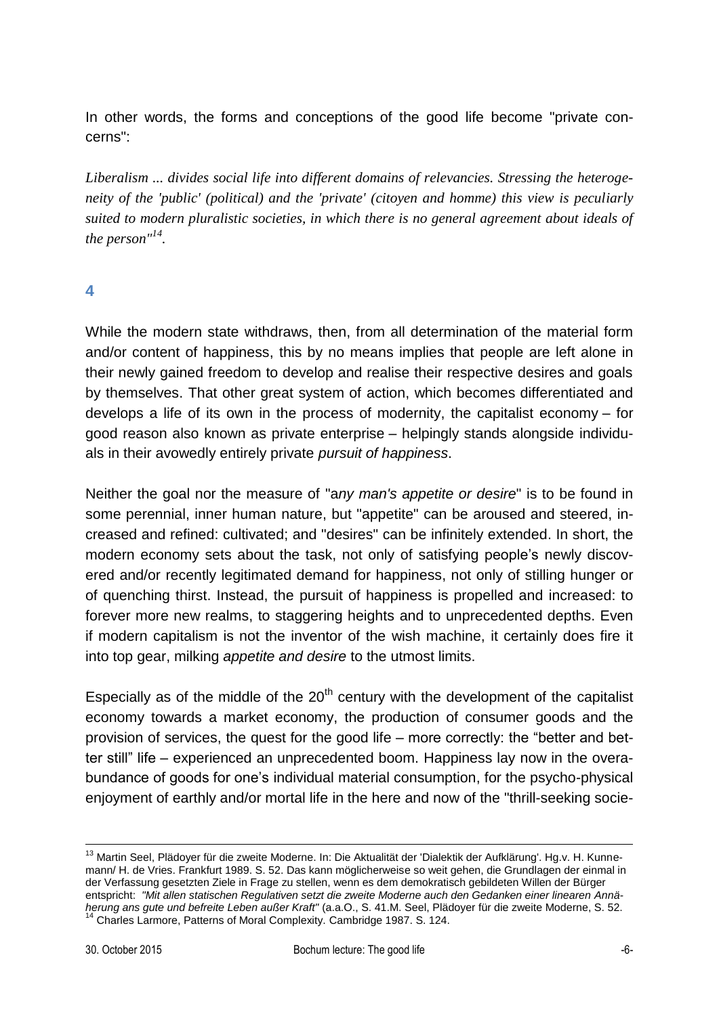In other words, the forms and conceptions of the good life become "private concerns":

*Liberalism ... divides social life into different domains of relevancies. Stressing the heterogeneity of the 'public' (political) and the 'private' (citoyen and homme) this view is peculiarly suited to modern pluralistic societies, in which there is no general agreement about ideals of the person"<sup>14</sup> .*

#### **4**

While the modern state withdraws, then, from all determination of the material form and/or content of happiness, this by no means implies that people are left alone in their newly gained freedom to develop and realise their respective desires and goals by themselves. That other great system of action, which becomes differentiated and develops a life of its own in the process of modernity, the capitalist economy – for good reason also known as private enterprise – helpingly stands alongside individuals in their avowedly entirely private *pursuit of happiness*.

Neither the goal nor the measure of "a*ny man's appetite or desire*" is to be found in some perennial, inner human nature, but "appetite" can be aroused and steered, increased and refined: cultivated; and "desires" can be infinitely extended. In short, the modern economy sets about the task, not only of satisfying people's newly discovered and/or recently legitimated demand for happiness, not only of stilling hunger or of quenching thirst. Instead, the pursuit of happiness is propelled and increased: to forever more new realms, to staggering heights and to unprecedented depths. Even if modern capitalism is not the inventor of the wish machine, it certainly does fire it into top gear, milking *appetite and desire* to the utmost limits.

Especially as of the middle of the  $20<sup>th</sup>$  century with the development of the capitalist economy towards a market economy, the production of consumer goods and the provision of services, the quest for the good life – more correctly: the "better and better still" life – experienced an unprecedented boom. Happiness lay now in the overabundance of goods for one's individual material consumption, for the psycho-physical enjoyment of earthly and/or mortal life in the here and now of the "thrill-seeking socie-

 $\overline{a}$ 

<sup>&</sup>lt;sup>13</sup> Martin Seel, Plädoyer für die zweite Moderne. In: Die Aktualität der 'Dialektik der Aufklärung'. Hg.v. H. Kunnemann/ H. de Vries. Frankfurt 1989. S. 52. Das kann möglicherweise so weit gehen, die Grundlagen der einmal in der Verfassung gesetzten Ziele in Frage zu stellen, wenn es dem demokratisch gebildeten Willen der Bürger entspricht: *"Mit allen statischen Regulativen setzt die zweite Moderne auch den Gedanken einer linearen Annäherung ans gute und befreite Leben außer Kraft"* (a.a.O., S. 41.M. Seel, Plädoyer für die zweite Moderne, S. 52. <sup>14</sup> Charles Larmore, Patterns of Moral Complexity. Cambridge 1987. S. 124.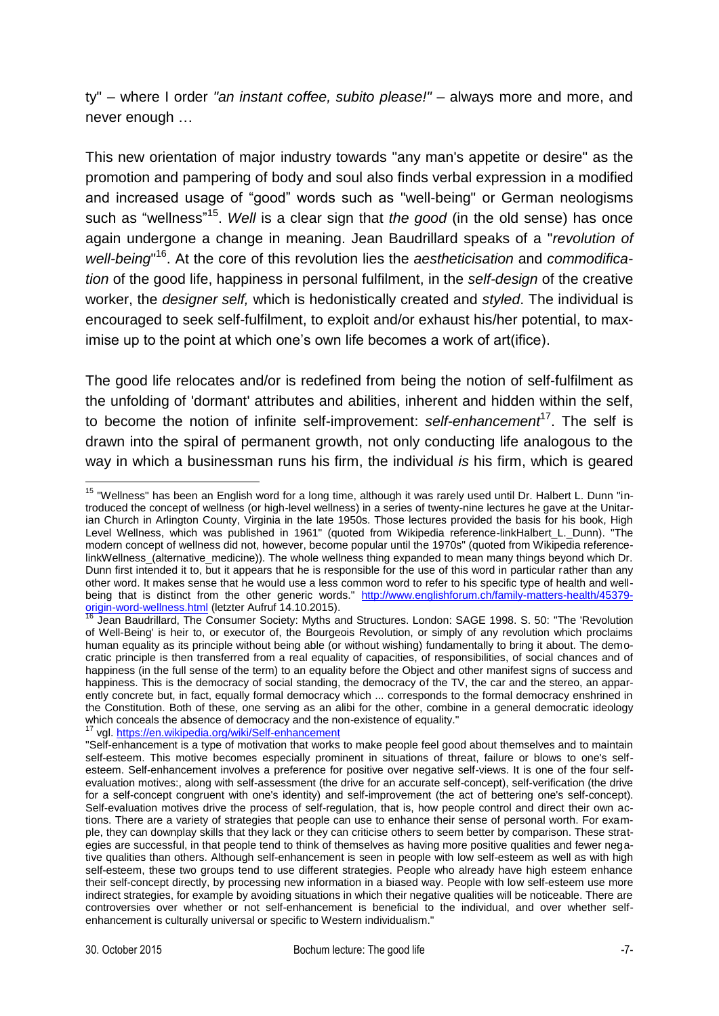ty" – where I order *"an instant coffee, subito please!"* – always more and more, and never enough …

This new orientation of major industry towards "any man's appetite or desire" as the promotion and pampering of body and soul also finds verbal expression in a modified and increased usage of "good" words such as "well-being" or German neologisms such as "wellness"<sup>15</sup>. Well is a clear sign that *the good* (in the old sense) has once again undergone a change in meaning. Jean Baudrillard speaks of a "*revolution of*  well-being<sup>"16</sup>. At the core of this revolution lies the *aestheticisation* and *commodification* of the good life, happiness in personal fulfilment, in the *self-design* of the creative worker, the *designer self,* which is hedonistically created and *styled*. The individual is encouraged to seek self-fulfilment, to exploit and/or exhaust his/her potential, to maximise up to the point at which one's own life becomes a work of art(ifice).

The good life relocates and/or is redefined from being the notion of self-fulfilment as the unfolding of 'dormant' attributes and abilities, inherent and hidden within the self, to become the notion of infinite self-improvement: self-enhancement<sup>17</sup>. The self is drawn into the spiral of permanent growth, not only conducting life analogous to the way in which a businessman runs his firm, the individual *is* his firm, which is geared

vgl[. https://en.wikipedia.org/wiki/Self-enhancement](https://en.wikipedia.org/wiki/Self-enhancement)

<sup>1</sup> <sup>15</sup> "Wellness" has been an English word for a long time, although it was rarely used until Dr. Halbert L. Dunn "introduced the concept of wellness (or high-level wellness) in a series of twenty-nine lectures he gave at the Unitarian Church in Arlington County, Virginia in the late 1950s. Those lectures provided the basis for his book, High Level Wellness, which was published in 1961" (quoted from Wikipedia reference-linkHalbert\_L.\_Dunn). "The modern concept of wellness did not, however, become popular until the 1970s" (quoted from Wikipedia referencelinkWellness\_(alternative\_medicine)). The whole wellness thing expanded to mean many things beyond which Dr. Dunn first intended it to, but it appears that he is responsible for the use of this word in particular rather than any other word. It makes sense that he would use a less common word to refer to his specific type of health and wellbeing that is distinct from the other generic words." [http://www.englishforum.ch/family-matters-health/45379](http://www.englishforum.ch/family-matters-health/45379-origin-word-wellness.html) [origin-word-wellness.html](http://www.englishforum.ch/family-matters-health/45379-origin-word-wellness.html) (letzter Aufruf 14.10.2015).

Jean Baudrillard, The Consumer Society: Myths and Structures. London: SAGE 1998. S. 50: "The 'Revolution of Well-Being' is heir to, or executor of, the Bourgeois Revolution, or simply of any revolution which proclaims human equality as its principle without being able (or without wishing) fundamentally to bring it about. The democratic principle is then transferred from a real equality of capacities, of responsibilities, of social chances and of happiness (in the full sense of the term) to an equality before the Object and other manifest signs of success and happiness. This is the democracy of social standing, the democracy of the TV, the car and the stereo, an apparently concrete but, in fact, equally formal democracy which ... corresponds to the formal democracy enshrined in the Constitution. Both of these, one serving as an alibi for the other, combine in a general democratic ideology which conceals the absence of democracy and the non-existence of equality."

<sup>&</sup>quot;Self-enhancement is a type of motivation that works to make people feel good about themselves and to maintain self-esteem. This motive becomes especially prominent in situations of threat, failure or blows to one's selfesteem. Self-enhancement involves a preference for positive over negative self-views. It is one of the four selfevaluation motives:, along with self-assessment (the drive for an accurate self-concept), self-verification (the drive for a self-concept congruent with one's identity) and self-improvement (the act of bettering one's self-concept). Self-evaluation motives drive the process of self-regulation, that is, how people control and direct their own actions. There are a variety of strategies that people can use to enhance their sense of personal worth. For example, they can downplay skills that they lack or they can criticise others to seem better by comparison. These strategies are successful, in that people tend to think of themselves as having more positive qualities and fewer negative qualities than others. Although self-enhancement is seen in people with low self-esteem as well as with high self-esteem, these two groups tend to use different strategies. People who already have high esteem enhance their self-concept directly, by processing new information in a biased way. People with low self-esteem use more indirect strategies, for example by avoiding situations in which their negative qualities will be noticeable. There are controversies over whether or not self-enhancement is beneficial to the individual, and over whether selfenhancement is culturally universal or specific to Western individualism."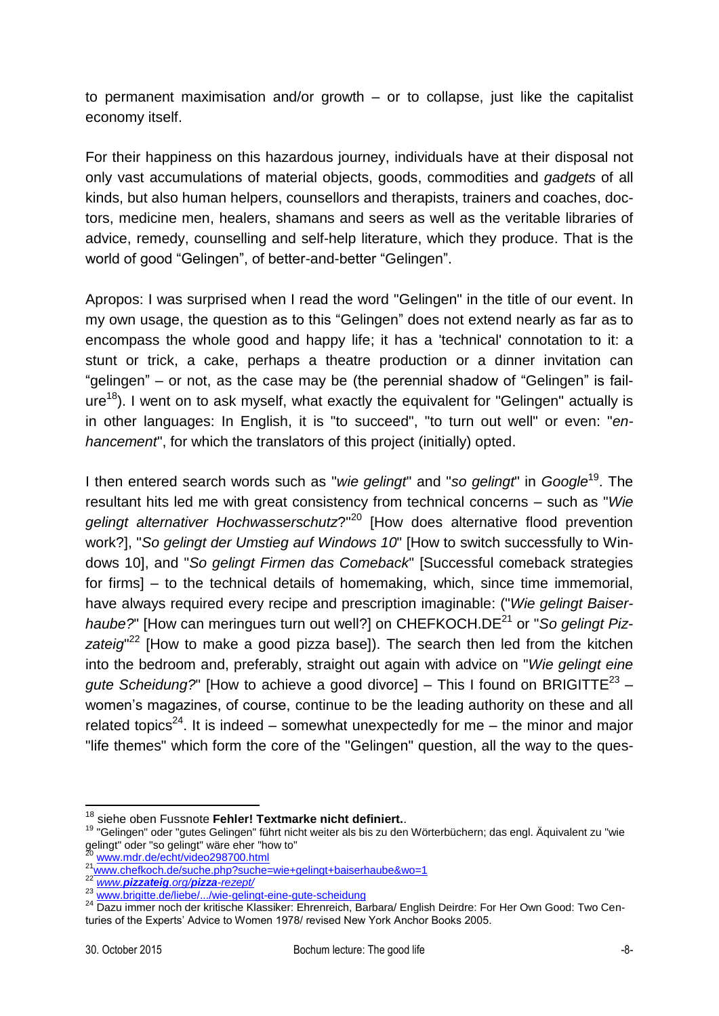to permanent maximisation and/or growth – or to collapse, just like the capitalist economy itself.

For their happiness on this hazardous journey, individuals have at their disposal not only vast accumulations of material objects, goods, commodities and *gadgets* of all kinds, but also human helpers, counsellors and therapists, trainers and coaches, doctors, medicine men, healers, shamans and seers as well as the veritable libraries of advice, remedy, counselling and self-help literature, which they produce. That is the world of good "Gelingen", of better-and-better "Gelingen".

Apropos: I was surprised when I read the word "Gelingen" in the title of our event. In my own usage, the question as to this "Gelingen" does not extend nearly as far as to encompass the whole good and happy life; it has a 'technical' connotation to it: a stunt or trick, a cake, perhaps a theatre production or a dinner invitation can "gelingen" – or not, as the case may be (the perennial shadow of "Gelingen" is fail $ure<sup>18</sup>$ ). I went on to ask myself, what exactly the equivalent for "Gelingen" actually is in other languages: In English, it is "to succeed", "to turn out well" or even: "*enhancement*", for which the translators of this project (initially) opted.

I then entered search words such as "*wie gelingt*" and "*so gelingt*" in *Google*<sup>19</sup> . The resultant hits led me with great consistency from technical concerns – such as "*Wie gelingt alternativer Hochwasserschutz*?" <sup>20</sup> [How does alternative flood prevention work?], "*So gelingt der Umstieg auf Windows 10*" [How to switch successfully to Windows 10], and "*So gelingt Firmen das Comeback*" [Successful comeback strategies for firms] – to the technical details of homemaking, which, since time immemorial, have always required every recipe and prescription imaginable: ("*Wie gelingt Baiser*haube?" [How can meringues turn out well?] on CHEFKOCH.DE<sup>21</sup> or "So gelingt Pizzateig<sup>"22</sup> [How to make a good pizza base]). The search then led from the kitchen into the bedroom and, preferably, straight out again with advice on "*Wie gelingt eine*  gute Scheidung?" [How to achieve a good divorce] – This I found on BRIGITTE<sup>23</sup> – women's magazines, of course, continue to be the leading authority on these and all related topics<sup>24</sup>. It is indeed  $-$  somewhat unexpectedly for me  $-$  the minor and major "life themes" which form the core of the "Gelingen" question, all the way to the ques-

<u>.</u>

<sup>18</sup> siehe oben Fussnote **Fehler! Textmarke nicht definiert.**.

<sup>19</sup> "Gelingen" oder "gutes Gelingen" führt nicht weiter als bis zu den Wörterbüchern; das engl. Äquivalent zu "wie gelingt" oder "so gelingt" wäre eher "how to"

<sup>20</sup> [www.mdr.de/echt/video298700.html](http://www.mdr.de/echt/video298700.html)

<sup>21</sup> www.thun.ue/suntynacozoor.communicationshipserhaube&wo=1

<sup>22</sup> *www.[pizzateig](http://www.pizzateig.org/pizza-rezept/).org/pizza-rezept/*

[www.brigitte.de/liebe/.../wie-gelingt-eine-gute-scheidung](http://www.brigitte.de/liebe/.../wie-gelingt-eine-gute-scheidung)

<sup>24</sup> Dazu immer noch der kritische Klassiker: Ehrenreich, Barbara/ English Deirdre: For Her Own Good: Two Centuries of the Experts' Advice to Women 1978/ revised New York Anchor Books 2005.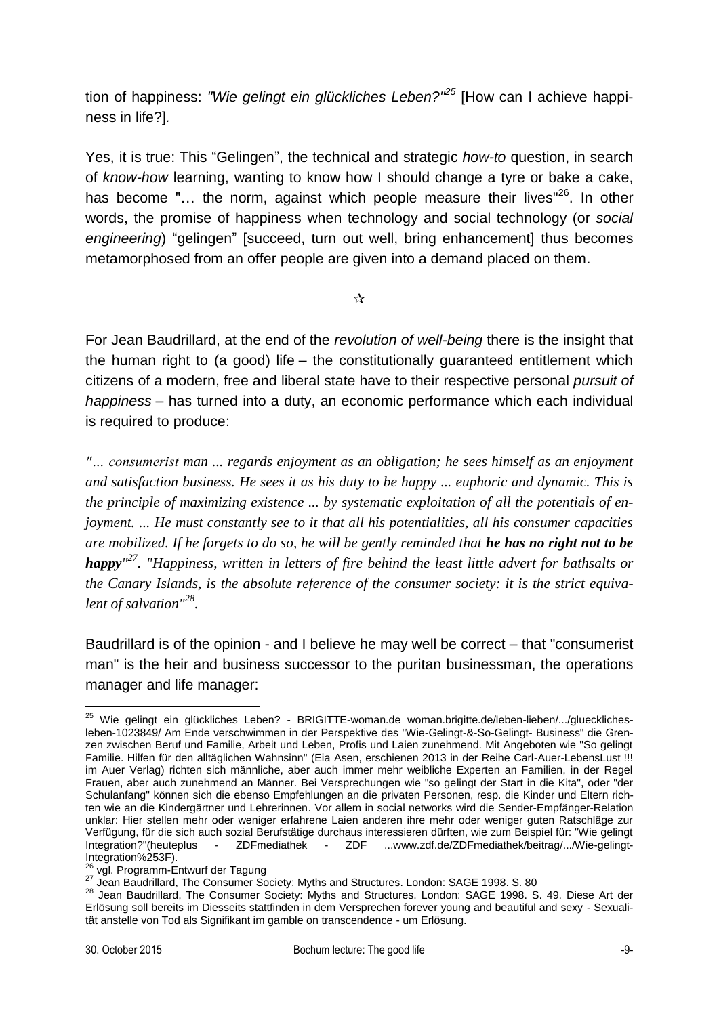tion of happiness: *"Wie gelingt ein glückliches Leben?" <sup>25</sup>* [How can I achieve happiness in life?]*.*

Yes, it is true: This "Gelingen", the technical and strategic *how-to* question, in search of *know-how* learning, wanting to know how I should change a tyre or bake a cake, has become "... the norm, against which people measure their lives"<sup>26</sup>. In other words, the promise of happiness when technology and social technology (or *social engineering*) "gelingen" [succeed, turn out well, bring enhancement] thus becomes metamorphosed from an offer people are given into a demand placed on them.

 $\frac{1}{\sqrt{2}}$ 

For Jean Baudrillard, at the end of the *revolution of well-being* there is the insight that the human right to (a good) life – the constitutionally guaranteed entitlement which citizens of a modern, free and liberal state have to their respective personal *pursuit of happiness* – has turned into a duty, an economic performance which each individual is required to produce:

*"… consumerist man ... regards enjoyment as an obligation; he sees himself as an enjoyment and satisfaction business. He sees it as his duty to be happy ... euphoric and dynamic. This is the principle of maximizing existence ... by systematic exploitation of all the potentials of enjoyment. ... He must constantly see to it that all his potentialities, all his consumer capacities are mobilized. If he forgets to do so, he will be gently reminded that he has no right not to be happy" <sup>27</sup>. "Happiness, written in letters of fire behind the least little advert for bathsalts or the Canary Islands, is the absolute reference of the consumer society: it is the strict equivalent of salvation"<sup>28</sup> .* 

Baudrillard is of the opinion - and I believe he may well be correct – that "consumerist man" is the heir and business successor to the puritan businessman, the operations manager and life manager:

1

<sup>&</sup>lt;sup>25</sup> Wie gelingt ein glückliches Leben? - BRIGITTE-woman.de woman.brigitte.de/leben-lieben/.../gluecklichesleben-1023849/ Am Ende verschwimmen in der Perspektive des "Wie-Gelingt-&-So-Gelingt- Business" die Grenzen zwischen Beruf und Familie, Arbeit und Leben, Profis und Laien zunehmend. Mit Angeboten wie "So gelingt Familie. Hilfen für den alltäglichen Wahnsinn" (Eia Asen, erschienen 2013 in der Reihe Carl-Auer-LebensLust !!! im Auer Verlag) richten sich männliche, aber auch immer mehr weibliche Experten an Familien, in der Regel Frauen, aber auch zunehmend an Männer. Bei Versprechungen wie "so gelingt der Start in die Kita", oder "der Schulanfang" können sich die ebenso Empfehlungen an die privaten Personen, resp. die Kinder und Eltern richten wie an die Kindergärtner und Lehrerinnen. Vor allem in social networks wird die Sender-Empfänger-Relation unklar: Hier stellen mehr oder weniger erfahrene Laien anderen ihre mehr oder weniger guten Ratschläge zur Verfügung, für die sich auch sozial Berufstätige durchaus interessieren dürften, wie zum Beispiel für: "Wie gelingt - ZDFmediathek - ZDF ...www.zdf.de/ZDFmediathek/beitrag/.../Wie-gelingt-Integration%253F).

<sup>&</sup>lt;sup>26</sup> vgl. Programm-Entwurf der Tagung

 $^{27}$  Jean Baudrillard, The Consumer Society: Myths and Structures. London: SAGE 1998. S. 80

<sup>&</sup>lt;sup>28</sup> Jean Baudrillard, The Consumer Society: Myths and Structures. London: SAGE 1998. S. 49. Diese Art der Erlösung soll bereits im Diesseits stattfinden in dem Versprechen forever young and beautiful and sexy - Sexualität anstelle von Tod als Signifikant im gamble on transcendence - um Erlösung.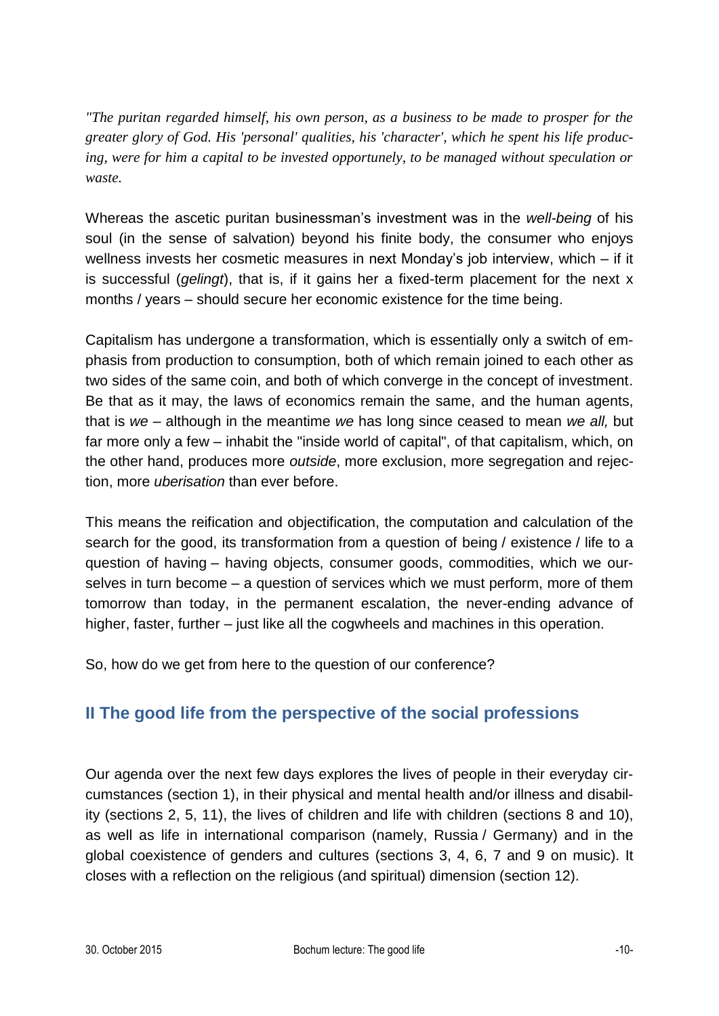*"The puritan regarded himself, his own person, as a business to be made to prosper for the greater glory of God. His 'personal' qualities, his 'character', which he spent his life producing, were for him a capital to be invested opportunely, to be managed without speculation or waste.* 

Whereas the ascetic puritan businessman's investment was in the *well-being* of his soul (in the sense of salvation) beyond his finite body, the consumer who enjoys wellness invests her cosmetic measures in next Monday's job interview, which – if it is successful (*gelingt*), that is, if it gains her a fixed-term placement for the next x months / years – should secure her economic existence for the time being.

Capitalism has undergone a transformation, which is essentially only a switch of emphasis from production to consumption, both of which remain joined to each other as two sides of the same coin, and both of which converge in the concept of investment. Be that as it may, the laws of economics remain the same, and the human agents, that is *we* – although in the meantime *we* has long since ceased to mean *we all,* but far more only a few – inhabit the "inside world of capital", of that capitalism, which, on the other hand, produces more *outside*, more exclusion, more segregation and rejection, more *uberisation* than ever before.

This means the reification and objectification, the computation and calculation of the search for the good, its transformation from a question of being / existence / life to a question of having – having objects, consumer goods, commodities, which we ourselves in turn become – a question of services which we must perform, more of them tomorrow than today, in the permanent escalation, the never-ending advance of higher, faster, further – just like all the cogwheels and machines in this operation.

So, how do we get from here to the question of our conference?

## **II The good life from the perspective of the social professions**

Our agenda over the next few days explores the lives of people in their everyday circumstances (section 1), in their physical and mental health and/or illness and disability (sections 2, 5, 11), the lives of children and life with children (sections 8 and 10), as well as life in international comparison (namely, Russia / Germany) and in the global coexistence of genders and cultures (sections 3, 4, 6, 7 and 9 on music). It closes with a reflection on the religious (and spiritual) dimension (section 12).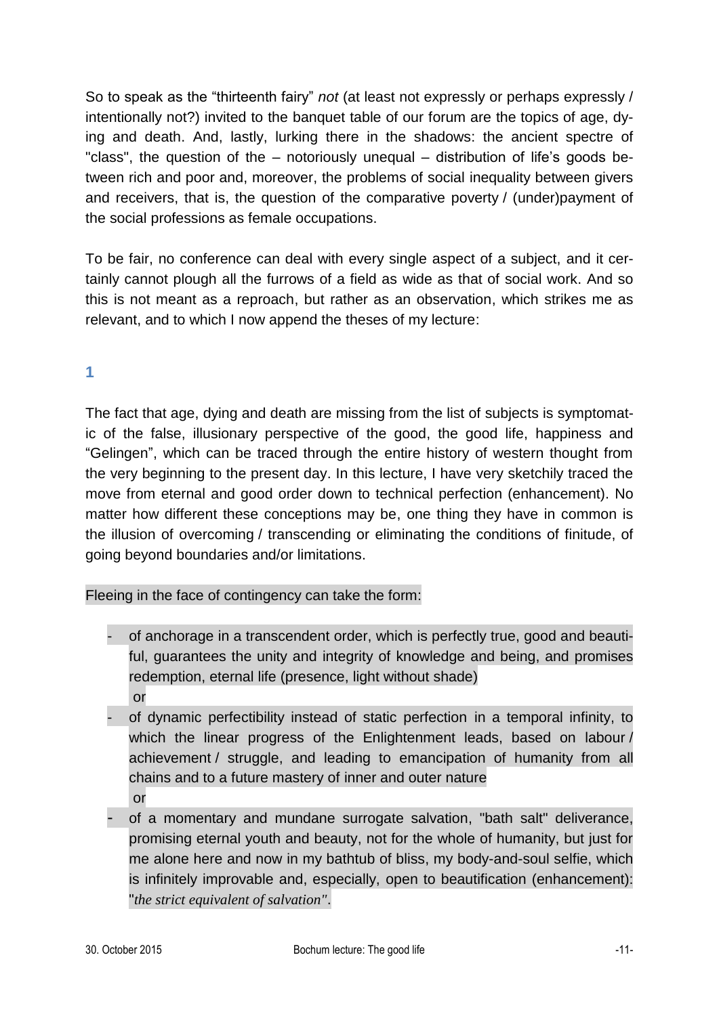So to speak as the "thirteenth fairy" *not* (at least not expressly or perhaps expressly / intentionally not?) invited to the banquet table of our forum are the topics of age, dying and death. And, lastly, lurking there in the shadows: the ancient spectre of "class", the question of the – notoriously unequal – distribution of life's goods between rich and poor and, moreover, the problems of social inequality between givers and receivers, that is, the question of the comparative poverty / (under)payment of the social professions as female occupations.

To be fair, no conference can deal with every single aspect of a subject, and it certainly cannot plough all the furrows of a field as wide as that of social work. And so this is not meant as a reproach, but rather as an observation, which strikes me as relevant, and to which I now append the theses of my lecture:

### **1**

The fact that age, dying and death are missing from the list of subjects is symptomatic of the false, illusionary perspective of the good, the good life, happiness and "Gelingen", which can be traced through the entire history of western thought from the very beginning to the present day. In this lecture, I have very sketchily traced the move from eternal and good order down to technical perfection (enhancement). No matter how different these conceptions may be, one thing they have in common is the illusion of overcoming / transcending or eliminating the conditions of finitude, of going beyond boundaries and/or limitations.

### Fleeing in the face of contingency can take the form:

- of anchorage in a transcendent order, which is perfectly true, good and beautiful, guarantees the unity and integrity of knowledge and being, and promises redemption, eternal life (presence, light without shade) or
- of dynamic perfectibility instead of static perfection in a temporal infinity, to which the linear progress of the Enlightenment leads, based on labour / achievement / struggle, and leading to emancipation of humanity from all chains and to a future mastery of inner and outer nature or
- of a momentary and mundane surrogate salvation, "bath salt" deliverance, promising eternal youth and beauty, not for the whole of humanity, but just for me alone here and now in my bathtub of bliss, my body-and-soul selfie, which is infinitely improvable and, especially, open to beautification (enhancement): "*the strict equivalent of salvation"*.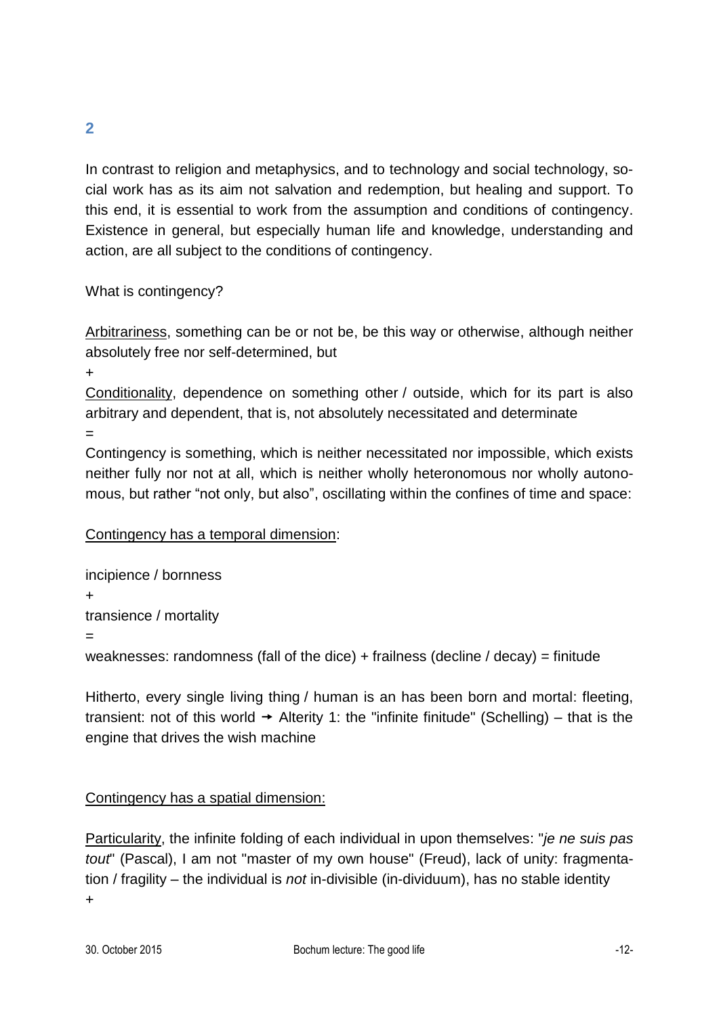In contrast to religion and metaphysics, and to technology and social technology, social work has as its aim not salvation and redemption, but healing and support. To this end, it is essential to work from the assumption and conditions of contingency. Existence in general, but especially human life and knowledge, understanding and action, are all subject to the conditions of contingency.

#### What is contingency?

Arbitrariness, something can be or not be, be this way or otherwise, although neither absolutely free nor self-determined, but

+

Conditionality, dependence on something other / outside, which for its part is also arbitrary and dependent, that is, not absolutely necessitated and determinate

=

Contingency is something, which is neither necessitated nor impossible, which exists neither fully nor not at all, which is neither wholly heteronomous nor wholly autonomous, but rather "not only, but also", oscillating within the confines of time and space:

### Contingency has a temporal dimension:

incipience / bornness + transience / mortality = weaknesses: randomness (fall of the dice) + frailness (decline / decay) = finitude

Hitherto, every single living thing / human is an has been born and mortal: fleeting, transient: not of this world  $\rightarrow$  Alterity 1: the "infinite finitude" (Schelling) – that is the engine that drives the wish machine

### Contingency has a spatial dimension:

Particularity, the infinite folding of each individual in upon themselves: "*je ne suis pas tout*" (Pascal), I am not "master of my own house" (Freud), lack of unity: fragmentation / fragility – the individual is *not* in-divisible (in-dividuum), has no stable identity +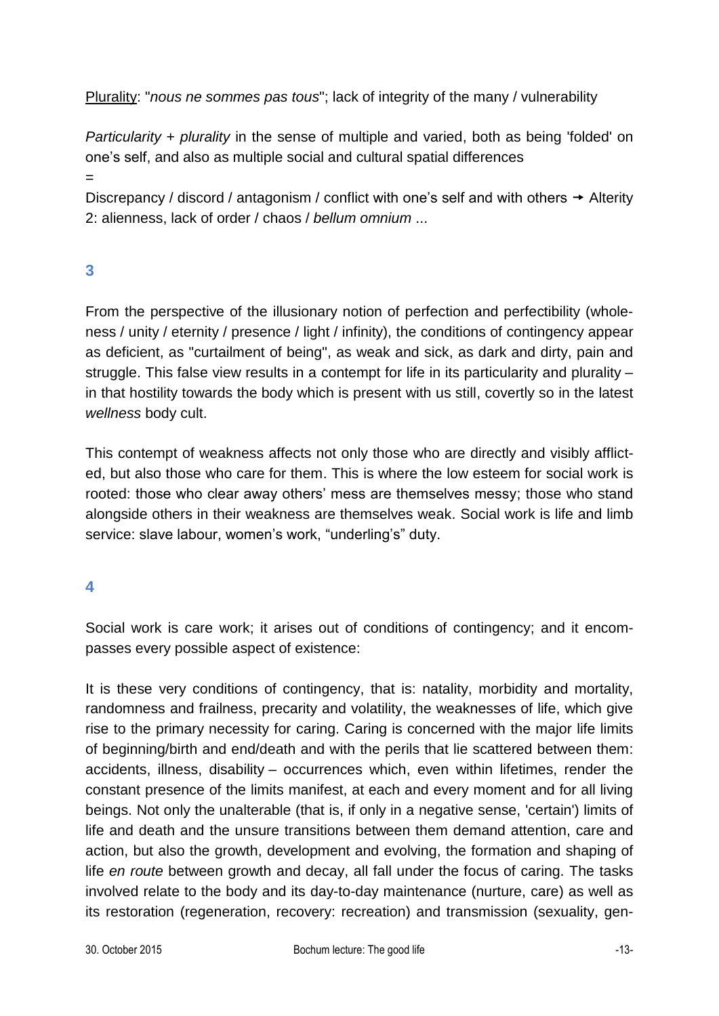Plurality: "*nous ne sommes pas tous*"; lack of integrity of the many / vulnerability

*Particularity* + *plurality* in the sense of multiple and varied, both as being 'folded' on one's self, and also as multiple social and cultural spatial differences

=

Discrepancy / discord / antagonism / conflict with one's self and with others  $\rightarrow$  Alterity 2: alienness, lack of order / chaos / *bellum omnium* ...

## **3**

From the perspective of the illusionary notion of perfection and perfectibility (wholeness / unity / eternity / presence / light / infinity), the conditions of contingency appear as deficient, as "curtailment of being", as weak and sick, as dark and dirty, pain and struggle. This false view results in a contempt for life in its particularity and plurality – in that hostility towards the body which is present with us still, covertly so in the latest *wellness* body cult.

This contempt of weakness affects not only those who are directly and visibly afflicted, but also those who care for them. This is where the low esteem for social work is rooted: those who clear away others' mess are themselves messy; those who stand alongside others in their weakness are themselves weak. Social work is life and limb service: slave labour, women's work, "underling's" duty.

### **4**

Social work is care work; it arises out of conditions of contingency; and it encompasses every possible aspect of existence:

It is these very conditions of contingency, that is: natality, morbidity and mortality, randomness and frailness, precarity and volatility, the weaknesses of life, which give rise to the primary necessity for caring. Caring is concerned with the major life limits of beginning/birth and end/death and with the perils that lie scattered between them: accidents, illness, disability – occurrences which, even within lifetimes, render the constant presence of the limits manifest, at each and every moment and for all living beings. Not only the unalterable (that is, if only in a negative sense, 'certain') limits of life and death and the unsure transitions between them demand attention, care and action, but also the growth, development and evolving, the formation and shaping of life *en route* between growth and decay, all fall under the focus of caring. The tasks involved relate to the body and its day-to-day maintenance (nurture, care) as well as its restoration (regeneration, recovery: recreation) and transmission (sexuality, gen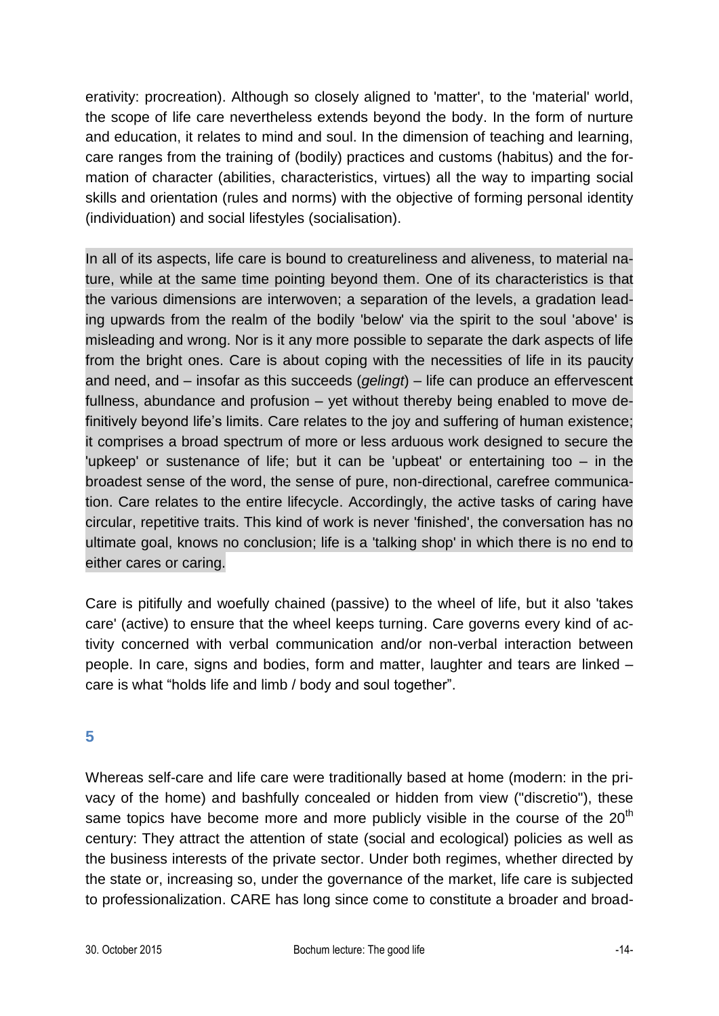erativity: procreation). Although so closely aligned to 'matter', to the 'material' world, the scope of life care nevertheless extends beyond the body. In the form of nurture and education, it relates to mind and soul. In the dimension of teaching and learning, care ranges from the training of (bodily) practices and customs (habitus) and the formation of character (abilities, characteristics, virtues) all the way to imparting social skills and orientation (rules and norms) with the objective of forming personal identity (individuation) and social lifestyles (socialisation).

In all of its aspects, life care is bound to creatureliness and aliveness, to material nature, while at the same time pointing beyond them. One of its characteristics is that the various dimensions are interwoven; a separation of the levels, a gradation leading upwards from the realm of the bodily 'below' via the spirit to the soul 'above' is misleading and wrong. Nor is it any more possible to separate the dark aspects of life from the bright ones. Care is about coping with the necessities of life in its paucity and need, and – insofar as this succeeds (*gelingt*) – life can produce an effervescent fullness, abundance and profusion – yet without thereby being enabled to move definitively beyond life's limits. Care relates to the joy and suffering of human existence; it comprises a broad spectrum of more or less arduous work designed to secure the 'upkeep' or sustenance of life; but it can be 'upbeat' or entertaining too – in the broadest sense of the word, the sense of pure, non-directional, carefree communication. Care relates to the entire lifecycle. Accordingly, the active tasks of caring have circular, repetitive traits. This kind of work is never 'finished', the conversation has no ultimate goal, knows no conclusion; life is a 'talking shop' in which there is no end to either cares or caring.

Care is pitifully and woefully chained (passive) to the wheel of life, but it also 'takes care' (active) to ensure that the wheel keeps turning. Care governs every kind of activity concerned with verbal communication and/or non-verbal interaction between people. In care, signs and bodies, form and matter, laughter and tears are linked – care is what "holds life and limb / body and soul together".

### **5**

Whereas self-care and life care were traditionally based at home (modern: in the privacy of the home) and bashfully concealed or hidden from view ("discretio"), these same topics have become more and more publicly visible in the course of the  $20<sup>th</sup>$ century: They attract the attention of state (social and ecological) policies as well as the business interests of the private sector. Under both regimes, whether directed by the state or, increasing so, under the governance of the market, life care is subjected to professionalization. CARE has long since come to constitute a broader and broad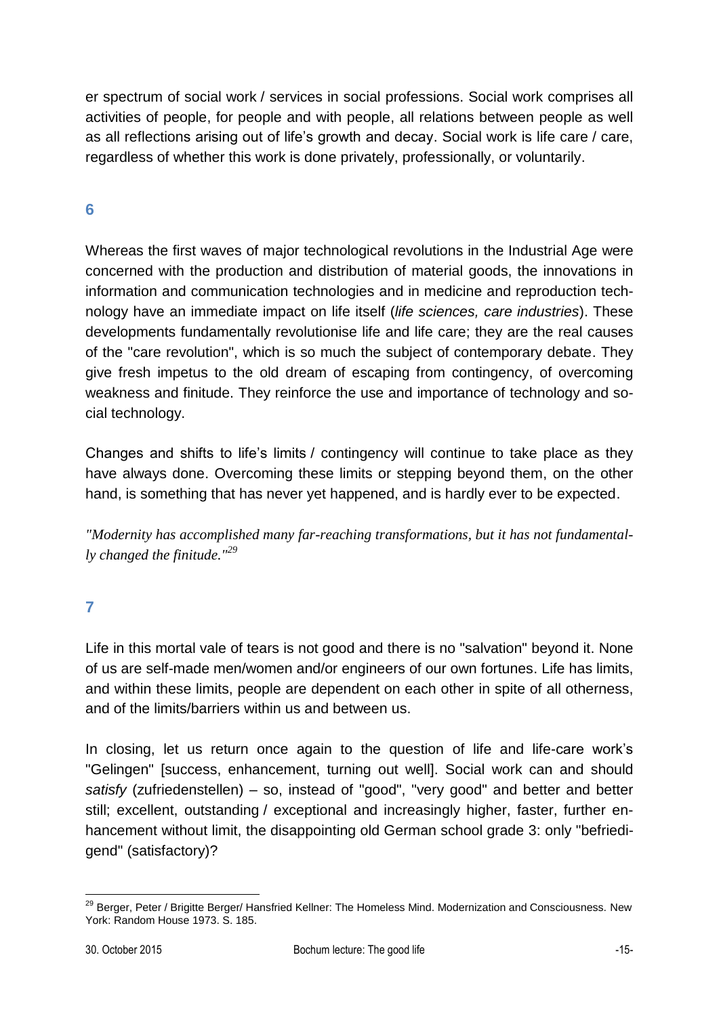er spectrum of social work / services in social professions. Social work comprises all activities of people, for people and with people, all relations between people as well as all reflections arising out of life's growth and decay. Social work is life care / care, regardless of whether this work is done privately, professionally, or voluntarily.

## **6**

Whereas the first waves of major technological revolutions in the Industrial Age were concerned with the production and distribution of material goods, the innovations in information and communication technologies and in medicine and reproduction technology have an immediate impact on life itself (*life sciences, care industries*). These developments fundamentally revolutionise life and life care; they are the real causes of the "care revolution", which is so much the subject of contemporary debate. They give fresh impetus to the old dream of escaping from contingency, of overcoming weakness and finitude. They reinforce the use and importance of technology and social technology.

Changes and shifts to life's limits / contingency will continue to take place as they have always done. Overcoming these limits or stepping beyond them, on the other hand, is something that has never yet happened, and is hardly ever to be expected.

*"Modernity has accomplished many far-reaching transformations, but it has not fundamentally changed the finitude."<sup>29</sup>*

**7**

Life in this mortal vale of tears is not good and there is no "salvation" beyond it. None of us are self-made men/women and/or engineers of our own fortunes. Life has limits, and within these limits, people are dependent on each other in spite of all otherness, and of the limits/barriers within us and between us.

In closing, let us return once again to the question of life and life-care work's "Gelingen" [success, enhancement, turning out well]. Social work can and should *satisfy* (zufriedenstellen) – so, instead of "good", "very good" and better and better still; excellent, outstanding / exceptional and increasingly higher, faster, further enhancement without limit, the disappointing old German school grade 3: only "befriedigend" (satisfactory)?

<sup>1</sup> <sup>29</sup> Berger, Peter / Brigitte Berger/ Hansfried Kellner: The Homeless Mind. Modernization and Consciousness. New York: Random House 1973. S. 185.